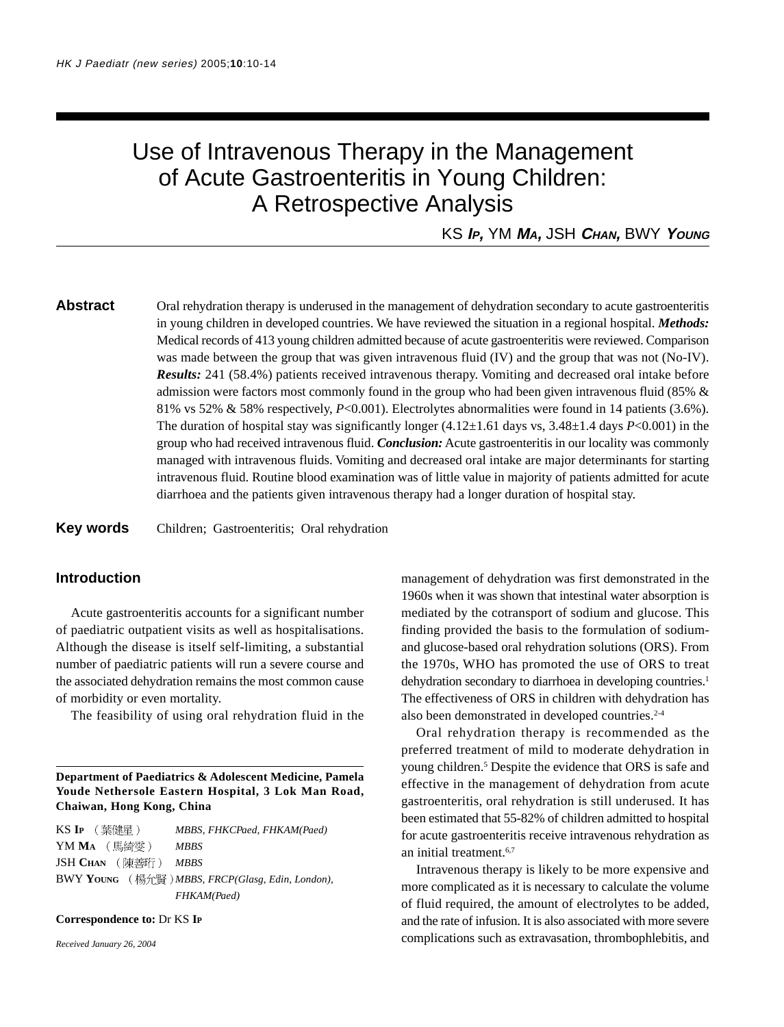# Use of Intravenous Therapy in the Management of Acute Gastroenteritis in Young Children: A Retrospective Analysis

KS **I<sup>P</sup>,** YM **M<sup>A</sup>,** JSH **CHAN,** BWY **YOUNG**

**Abstract** Oral rehydration therapy is underused in the management of dehydration secondary to acute gastroenteritis in young children in developed countries. We have reviewed the situation in a regional hospital. *Methods:* Medical records of 413 young children admitted because of acute gastroenteritis were reviewed. Comparison was made between the group that was given intravenous fluid (IV) and the group that was not (No-IV). *Results:* 241 (58.4%) patients received intravenous therapy. Vomiting and decreased oral intake before admission were factors most commonly found in the group who had been given intravenous fluid (85% & 81% vs 52% & 58% respectively, *P*<0.001). Electrolytes abnormalities were found in 14 patients (3.6%). The duration of hospital stay was significantly longer  $(4.12\pm1.61$  days vs,  $3.48\pm1.4$  days *P*<0.001) in the group who had received intravenous fluid. *Conclusion:* Acute gastroenteritis in our locality was commonly managed with intravenous fluids. Vomiting and decreased oral intake are major determinants for starting intravenous fluid. Routine blood examination was of little value in majority of patients admitted for acute diarrhoea and the patients given intravenous therapy had a longer duration of hospital stay.

**Key words** Children; Gastroenteritis; Oral rehydration

# **Introduction**

Acute gastroenteritis accounts for a significant number of paediatric outpatient visits as well as hospitalisations. Although the disease is itself self-limiting, a substantial number of paediatric patients will run a severe course and the associated dehydration remains the most common cause of morbidity or even mortality.

The feasibility of using oral rehydration fluid in the

**Department of Paediatrics & Adolescent Medicine, Pamela Youde Nethersole Eastern Hospital, 3 Lok Man Road, Chaiwan, Hong Kong, China**

KS **IP** *MBBS, FHKCPaed, FHKAM(Paed)* YM **MA** *MBBS* JSH **CHAN** *MBBS* BWY **YOUNG** *MBBS, FRCP(Glasg, Edin, London), FHKAM(Paed)*

#### **Correspondence to:** Dr KS **IP**

*Received January 26, 2004*

management of dehydration was first demonstrated in the 1960s when it was shown that intestinal water absorption is mediated by the cotransport of sodium and glucose. This finding provided the basis to the formulation of sodiumand glucose-based oral rehydration solutions (ORS). From the 1970s, WHO has promoted the use of ORS to treat dehydration secondary to diarrhoea in developing countries.<sup>1</sup> The effectiveness of ORS in children with dehydration has also been demonstrated in developed countries.<sup>2-4</sup>

Oral rehydration therapy is recommended as the preferred treatment of mild to moderate dehydration in young children.<sup>5</sup> Despite the evidence that ORS is safe and effective in the management of dehydration from acute gastroenteritis, oral rehydration is still underused. It has been estimated that 55-82% of children admitted to hospital for acute gastroenteritis receive intravenous rehydration as an initial treatment.6,7

Intravenous therapy is likely to be more expensive and more complicated as it is necessary to calculate the volume of fluid required, the amount of electrolytes to be added, and the rate of infusion. It is also associated with more severe complications such as extravasation, thrombophlebitis, and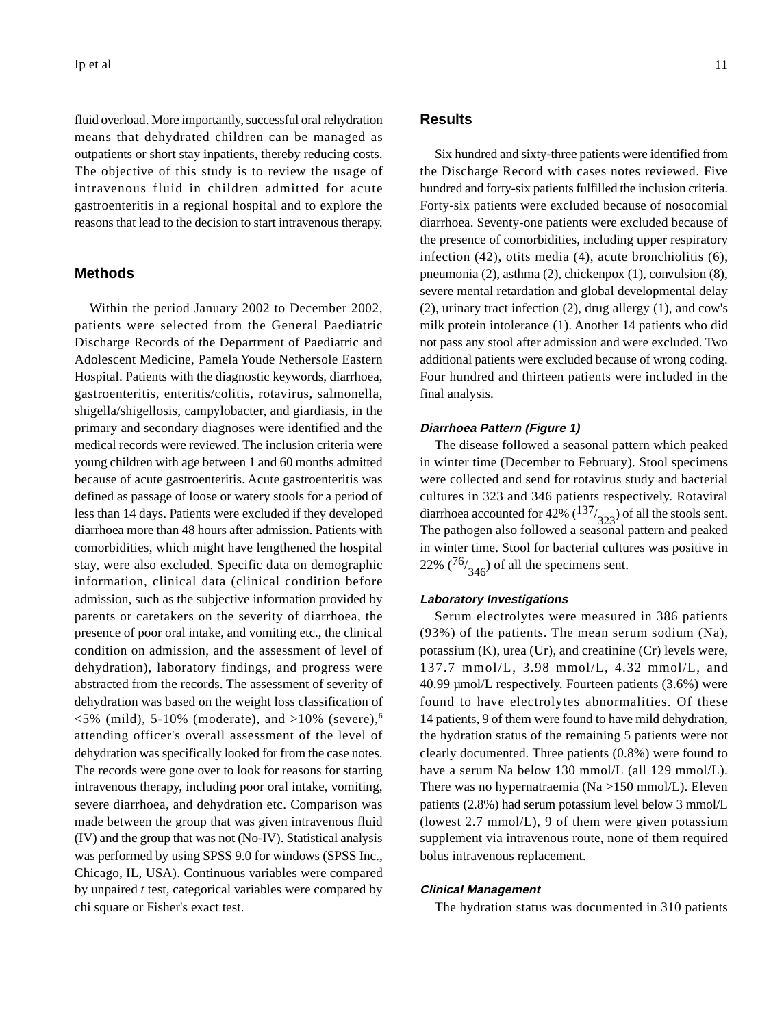fluid overload. More importantly, successful oral rehydration means that dehydrated children can be managed as outpatients or short stay inpatients, thereby reducing costs. The objective of this study is to review the usage of intravenous fluid in children admitted for acute gastroenteritis in a regional hospital and to explore the reasons that lead to the decision to start intravenous therapy.

### **Methods**

Within the period January 2002 to December 2002, patients were selected from the General Paediatric Discharge Records of the Department of Paediatric and Adolescent Medicine, Pamela Youde Nethersole Eastern Hospital. Patients with the diagnostic keywords, diarrhoea, gastroenteritis, enteritis/colitis, rotavirus, salmonella, shigella/shigellosis, campylobacter, and giardiasis, in the primary and secondary diagnoses were identified and the medical records were reviewed. The inclusion criteria were young children with age between 1 and 60 months admitted because of acute gastroenteritis. Acute gastroenteritis was defined as passage of loose or watery stools for a period of less than 14 days. Patients were excluded if they developed diarrhoea more than 48 hours after admission. Patients with comorbidities, which might have lengthened the hospital stay, were also excluded. Specific data on demographic information, clinical data (clinical condition before admission, such as the subjective information provided by parents or caretakers on the severity of diarrhoea, the presence of poor oral intake, and vomiting etc., the clinical condition on admission, and the assessment of level of dehydration), laboratory findings, and progress were abstracted from the records. The assessment of severity of dehydration was based on the weight loss classification of  $\langle 5\% \text{ (mild)}, 5\text{-}10\% \text{ (moderate)}, \text{ and } \rangle 10\% \text{ (severe)},\text{ }$ attending officer's overall assessment of the level of dehydration was specifically looked for from the case notes. The records were gone over to look for reasons for starting intravenous therapy, including poor oral intake, vomiting, severe diarrhoea, and dehydration etc. Comparison was made between the group that was given intravenous fluid (IV) and the group that was not (No-IV). Statistical analysis was performed by using SPSS 9.0 for windows (SPSS Inc., Chicago, IL, USA). Continuous variables were compared by unpaired *t* test, categorical variables were compared by chi square or Fisher's exact test.

#### **Results**

Six hundred and sixty-three patients were identified from the Discharge Record with cases notes reviewed. Five hundred and forty-six patients fulfilled the inclusion criteria. Forty-six patients were excluded because of nosocomial diarrhoea. Seventy-one patients were excluded because of the presence of comorbidities, including upper respiratory infection (42), otits media (4), acute bronchiolitis (6), pneumonia (2), asthma (2), chickenpox (1), convulsion (8), severe mental retardation and global developmental delay (2), urinary tract infection (2), drug allergy (1), and cow's milk protein intolerance (1). Another 14 patients who did not pass any stool after admission and were excluded. Two additional patients were excluded because of wrong coding. Four hundred and thirteen patients were included in the final analysis.

#### **Diarrhoea Pattern (Figure 1)**

The disease followed a seasonal pattern which peaked in winter time (December to February). Stool specimens were collected and send for rotavirus study and bacterial cultures in 323 and 346 patients respectively. Rotaviral diarrhoea accounted for 42%  $\binom{137}{323}$  of all the stools sent.<br>The pathogen also followed a seasonal pattern and peaked in winter time. Stool for bacterial cultures was positive in 22%  $(76)$ <sub>346</sub>) of all the specimens sent.

#### **Laboratory Investigations**

Serum electrolytes were measured in 386 patients (93%) of the patients. The mean serum sodium (Na), potassium (K), urea (Ur), and creatinine (Cr) levels were, 137.7 mmol/L, 3.98 mmol/L, 4.32 mmol/L, and 40.99 µmol/L respectively. Fourteen patients (3.6%) were found to have electrolytes abnormalities. Of these 14 patients, 9 of them were found to have mild dehydration, the hydration status of the remaining 5 patients were not clearly documented. Three patients (0.8%) were found to have a serum Na below 130 mmol/L (all 129 mmol/L). There was no hypernatraemia ( $Na > 150$  mmol/L). Eleven patients (2.8%) had serum potassium level below 3 mmol/L (lowest 2.7 mmol/L), 9 of them were given potassium supplement via intravenous route, none of them required bolus intravenous replacement.

#### **Clinical Management**

The hydration status was documented in 310 patients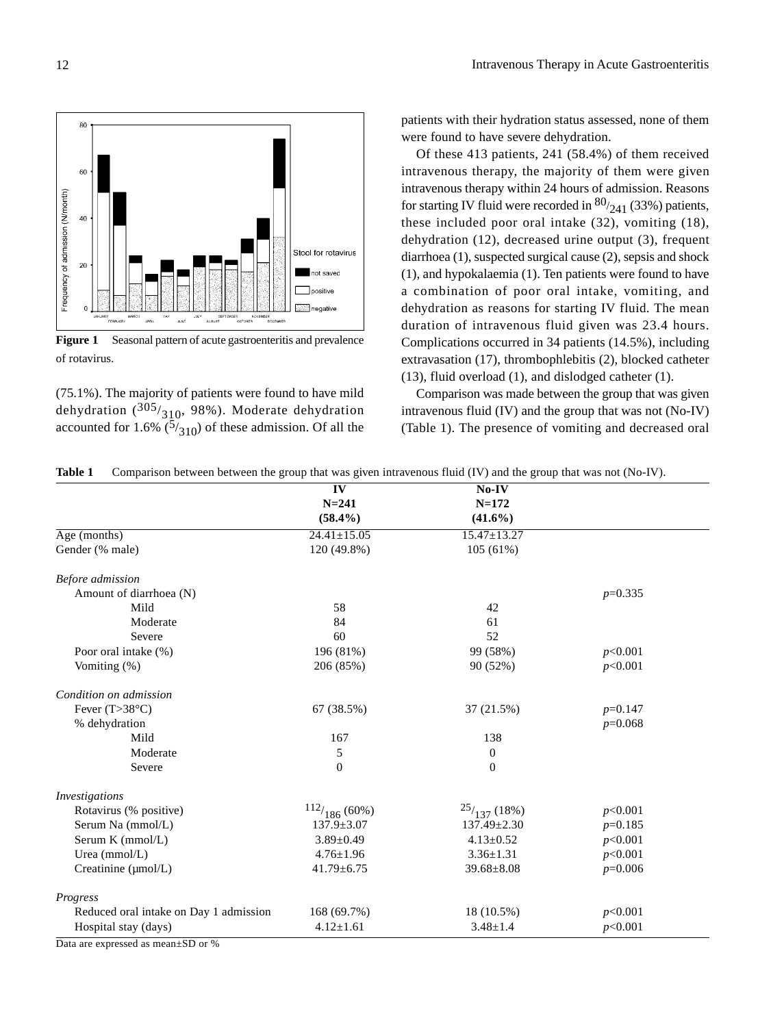

**Figure 1** Seasonal pattern of acute gastroenteritis and prevalence of rotavirus.

(75.1%). The majority of patients were found to have mild dehydration ( $305/310$ , 98%). Moderate dehydration accounted for 1.6%  $(5/310)$  of these admission. Of all the

patients with their hydration status assessed, none of them were found to have severe dehydration.

Of these 413 patients, 241 (58.4%) of them received intravenous therapy, the majority of them were given intravenous therapy within 24 hours of admission. Reasons for starting IV fluid were recorded in  $80/241$  (33%) patients, these included poor oral intake (32), vomiting (18), dehydration (12), decreased urine output (3), frequent diarrhoea (1), suspected surgical cause (2), sepsis and shock (1), and hypokalaemia (1). Ten patients were found to have a combination of poor oral intake, vomiting, and dehydration as reasons for starting IV fluid. The mean duration of intravenous fluid given was 23.4 hours. Complications occurred in 34 patients (14.5%), including extravasation (17), thrombophlebitis (2), blocked catheter (13), fluid overload (1), and dislodged catheter (1).

Comparison was made between the group that was given intravenous fluid (IV) and the group that was not (No-IV) (Table 1). The presence of vomiting and decreased oral

|  |  |  |  |  | Table 1 Comparison between between the group that was given intravenous fluid (IV) and the group that was not (No-IV). |
|--|--|--|--|--|------------------------------------------------------------------------------------------------------------------------|
|--|--|--|--|--|------------------------------------------------------------------------------------------------------------------------|

|                                        | $\overline{\mathbf{IV}}$ | $No-IV$           |           |
|----------------------------------------|--------------------------|-------------------|-----------|
|                                        | $N = 241$                | $N = 172$         |           |
|                                        | $(58.4\%)$               | $(41.6\%)$        |           |
| $\overline{Age}$ (months)              | $24.41 \pm 15.05$        | $15.47 \pm 13.27$ |           |
| Gender (% male)                        | 120 (49.8%)              | 105(61%)          |           |
| Before admission                       |                          |                   |           |
| Amount of diarrhoea (N)                |                          |                   | $p=0.335$ |
| Mild                                   | 58                       | 42                |           |
| Moderate                               | 84                       | 61                |           |
| Severe                                 | 60                       | 52                |           |
| Poor oral intake (%)                   | 196 (81%)                | 99 (58%)          | p<0.001   |
| Vomiting $(\%)$                        | 206 (85%)                | 90 (52%)          | p<0.001   |
| Condition on admission                 |                          |                   |           |
| Fever $(T>38^{\circ}C)$                | 67 (38.5%)               | 37 (21.5%)        | $p=0.147$ |
| % dehydration                          |                          |                   | $p=0.068$ |
| Mild                                   | 167                      | 138               |           |
| Moderate                               | 5                        | $\mathbf{0}$      |           |
| Severe                                 | $\overline{0}$           | $\mathbf{0}$      |           |
| Investigations                         |                          |                   |           |
| Rotavirus (% positive)                 | 112/186(60%)             | 25/137(18%)       | p<0.001   |
| Serum Na (mmol/L)                      | $137.9 \pm 3.07$         | $137.49 \pm 2.30$ | $p=0.185$ |
| Serum K (mmol/L)                       | $3.89 \pm 0.49$          | $4.13 \pm 0.52$   | p<0.001   |
| Urea (mmol/L)                          | $4.76 \pm 1.96$          | $3.36 \pm 1.31$   | p<0.001   |
| Creatinine (µmol/L)                    | $41.79 \pm 6.75$         | $39.68 \pm 8.08$  | $p=0.006$ |
| Progress                               |                          |                   |           |
| Reduced oral intake on Day 1 admission | 168 (69.7%)              | 18 (10.5%)        | p<0.001   |
| Hospital stay (days)                   | $4.12 \pm 1.61$          | $3.48 \pm 1.4$    | p<0.001   |

Data are expressed as mean±SD or %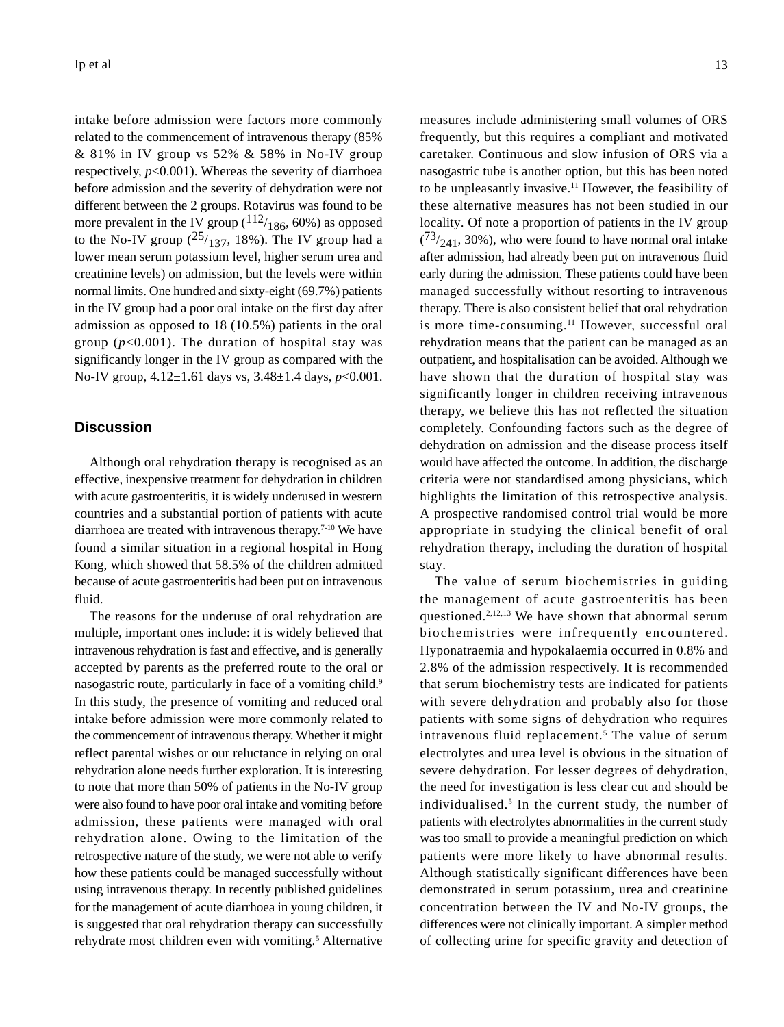intake before admission were factors more commonly related to the commencement of intravenous therapy (85% & 81% in IV group vs 52% & 58% in No-IV group respectively,  $p<0.001$ ). Whereas the severity of diarrhoea before admission and the severity of dehydration were not different between the 2 groups. Rotavirus was found to be more prevalent in the IV group  $(112)_{186}$ , 60%) as opposed to the No-IV group  $(25/137, 18%)$ . The IV group had a lower mean serum potassium level, higher serum urea and creatinine levels) on admission, but the levels were within normal limits. One hundred and sixty-eight (69.7%) patients in the IV group had a poor oral intake on the first day after admission as opposed to 18 (10.5%) patients in the oral group  $(p<0.001)$ . The duration of hospital stay was significantly longer in the IV group as compared with the No-IV group, 4.12±1.61 days vs, 3.48±1.4 days, *p*<0.001.

## **Discussion**

Although oral rehydration therapy is recognised as an effective, inexpensive treatment for dehydration in children with acute gastroenteritis, it is widely underused in western countries and a substantial portion of patients with acute diarrhoea are treated with intravenous therapy.7-10 We have found a similar situation in a regional hospital in Hong Kong, which showed that 58.5% of the children admitted because of acute gastroenteritis had been put on intravenous fluid.

The reasons for the underuse of oral rehydration are multiple, important ones include: it is widely believed that intravenous rehydration is fast and effective, and is generally accepted by parents as the preferred route to the oral or nasogastric route, particularly in face of a vomiting child.<sup>9</sup> In this study, the presence of vomiting and reduced oral intake before admission were more commonly related to the commencement of intravenous therapy. Whether it might reflect parental wishes or our reluctance in relying on oral rehydration alone needs further exploration. It is interesting to note that more than 50% of patients in the No-IV group were also found to have poor oral intake and vomiting before admission, these patients were managed with oral rehydration alone. Owing to the limitation of the retrospective nature of the study, we were not able to verify how these patients could be managed successfully without using intravenous therapy. In recently published guidelines for the management of acute diarrhoea in young children, it is suggested that oral rehydration therapy can successfully rehydrate most children even with vomiting.<sup>5</sup> Alternative

measures include administering small volumes of ORS frequently, but this requires a compliant and motivated caretaker. Continuous and slow infusion of ORS via a nasogastric tube is another option, but this has been noted to be unpleasantly invasive.11 However, the feasibility of these alternative measures has not been studied in our locality. Of note a proportion of patients in the IV group  $(13/241, 30\%)$ , who were found to have normal oral intake after admission, had already been put on intravenous fluid early during the admission. These patients could have been managed successfully without resorting to intravenous therapy. There is also consistent belief that oral rehydration is more time-consuming.<sup>11</sup> However, successful oral rehydration means that the patient can be managed as an outpatient, and hospitalisation can be avoided. Although we have shown that the duration of hospital stay was significantly longer in children receiving intravenous therapy, we believe this has not reflected the situation completely. Confounding factors such as the degree of dehydration on admission and the disease process itself would have affected the outcome. In addition, the discharge criteria were not standardised among physicians, which highlights the limitation of this retrospective analysis.

A prospective randomised control trial would be more appropriate in studying the clinical benefit of oral rehydration therapy, including the duration of hospital stay. The value of serum biochemistries in guiding

the management of acute gastroenteritis has been questioned.<sup>2,12,13</sup> We have shown that abnormal serum biochemistries were infrequently encountered. Hyponatraemia and hypokalaemia occurred in 0.8% and 2.8% of the admission respectively. It is recommended that serum biochemistry tests are indicated for patients with severe dehydration and probably also for those patients with some signs of dehydration who requires intravenous fluid replacement.<sup>5</sup> The value of serum electrolytes and urea level is obvious in the situation of severe dehydration. For lesser degrees of dehydration, the need for investigation is less clear cut and should be individualised.<sup>5</sup> In the current study, the number of patients with electrolytes abnormalities in the current study was too small to provide a meaningful prediction on which patients were more likely to have abnormal results. Although statistically significant differences have been demonstrated in serum potassium, urea and creatinine concentration between the IV and No-IV groups, the differences were not clinically important. A simpler method of collecting urine for specific gravity and detection of